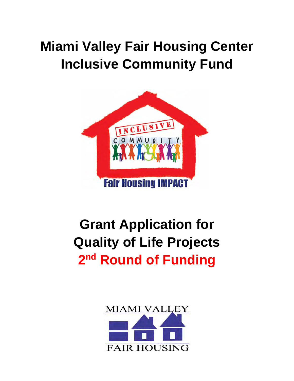# **Miami Valley Fair Housing Center Inclusive Community Fund**



# **Grant Application for Quality of Life Projects 2nd Round of Funding**

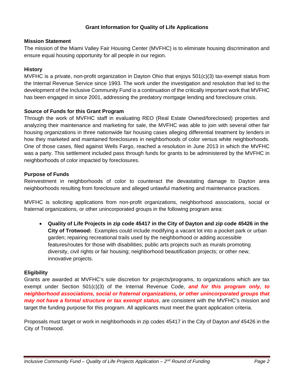# **Grant Information for Quality of Life Applications**

#### **Mission Statement**

The mission of the Miami Valley Fair Housing Center (MVFHC) is to eliminate housing discrimination and ensure equal housing opportunity for all people in our region.

# **History**

MVFHC is a private, non-profit organization in Dayton Ohio that enjoys 501(c)(3) tax-exempt status from the Internal Revenue Service since 1993. The work under the investigation and resolution that led to the development of the Inclusive Community Fund is a continuation of the critically important work that MVFHC has been engaged in since 2001, addressing the predatory mortgage lending and foreclosure crisis.

### **Source of Funds for this Grant Program**

Through the work of MVFHC staff in evaluating REO (Real Estate Owned/foreclosed) properties and analyzing their maintenance and marketing for sale, the MVFHC was able to join with several other fair housing organizations in three nationwide fair housing cases alleging differential treatment by lenders in how they marketed and maintained foreclosures in neighborhoods of color versus white neighborhoods. One of those cases, filed against Wells Fargo, reached a resolution in June 2013 in which the MVFHC was a party. This settlement included pass through funds for grants to be administered by the MVFHC in neighborhoods of color impacted by foreclosures.

### **Purpose of Funds**

Reinvestment in neighborhoods of color to counteract the devastating damage to Dayton area neighborhoods resulting from foreclosure and alleged unlawful marketing and maintenance practices.

MVFHC is soliciting applications from non-profit organizations, neighborhood associations, social or fraternal organizations, or other unincorporated groups in the following program area:

 **Quality of Life Projects in zip code 45417 in the City of Dayton and zip code 45426 in the City of Trotwood:** Examples could include modifying a vacant lot into a pocket park or urban garden; repairing recreational trails used by the neighborhood or adding accessible features/routes for those with disabilities; public arts projects such as murals promoting diversity, civil rights or fair housing; neighborhood beautification projects; or other new, innovative projects.

#### **Eligibility**

Grants are awarded at MVFHC's sole discretion for projects/programs, to organizations which are tax exempt under Section 501(c)(3) of the Internal Revenue Code, *and for this program only, to neighborhood associations, social or fraternal organizations, or other unincorporated groups that may not have a formal structure or tax exempt status*, are consistent with the MVFHC's mission and target the funding purpose for this program. All applicants must meet the grant application criteria.

Proposals must target or work in neighborhoods in zip codes 45417 in the City of Dayton *and* 45426 in the City of Trotwood.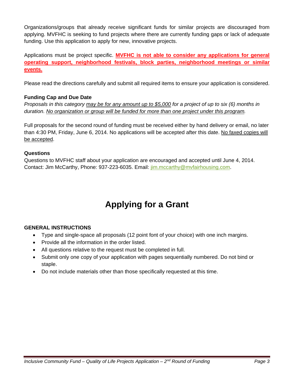Organizations/groups that already receive significant funds for similar projects are discouraged from applying. MVFHC is seeking to fund projects where there are currently funding gaps or lack of adequate funding. Use this application to apply for new, innovative projects.

Applications must be project specific. **MVFHC is not able to consider any applications for general operating support, neighborhood festivals, block parties, neighborhood meetings or similar events.**

Please read the directions carefully and submit all required items to ensure your application is considered.

# **Funding Cap and Due Date**

*Proposals in this category may be for any amount up to \$5,000 for a project of up to six (6) months in duration. No organization or group will be funded for more than one project under this program.* 

Full proposals for the second round of funding must be received either by hand delivery or email, no later than 4:30 PM, Friday, June 6, 2014. No applications will be accepted after this date. No faxed copies will be accepted.

# **Questions**

Questions to MVFHC staff about your application are encouraged and accepted until June 4, 2014. Contact: Jim McCarthy, Phone: 937-223-6035. Email: jim.mccarthy@mvfairhousing.com.

# **Applying for a Grant**

# **GENERAL INSTRUCTIONS**

- Type and single-space all proposals (12 point font of your choice) with one inch margins.
- Provide all the information in the order listed.
- All questions relative to the request must be completed in full.
- Submit only one copy of your application with pages sequentially numbered. Do not bind or staple.
- Do not include materials other than those specifically requested at this time.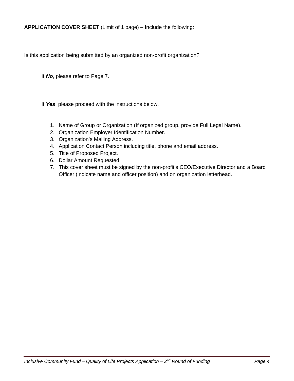**APPLICATION COVER SHEET** (Limit of 1 page) – Include the following:

Is this application being submitted by an organized non-profit organization?

If *No*, please refer to Page 7.

If *Yes*, please proceed with the instructions below.

- 1. Name of Group or Organization (If organized group, provide Full Legal Name).
- 2. Organization Employer Identification Number.
- 3. Organization's Mailing Address.
- 4. Application Contact Person including title, phone and email address.
- 5. Title of Proposed Project.
- 6. Dollar Amount Requested.
- 7. This cover sheet must be signed by the non-profit's CEO/Executive Director and a Board Officer (indicate name and officer position) and on organization letterhead.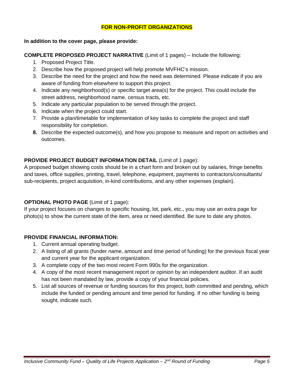# **FOR NON-PROFIT ORGANIZATIONS**

#### **In addition to the cover page, please provide:**

**COMPLETE PROPOSED PROJECT NARRATIVE** (Limit of 1 pages) – Include the following:

- 1. Proposed Project Title.
- 2. Describe how the proposed project will help promote MVFHC's mission.
- 3. Describe the need for the project and how the need was determined. Please indicate if you are aware of funding from elsewhere to support this project.
- 4. Indicate any neighborhood(s) or specific target area(s) for the project. This could include the street address, neighborhood name, census tracts, etc.
- 5. Indicate any particular population to be served through the project.
- 6. Indicate when the project could start.
- 7. Provide a plan/timetable for implementation of key tasks to complete the project and staff responsibility for completion.
- **8.** Describe the expected outcome(s), and how you propose to measure and report on activities and outcomes.

# **PROVIDE PROJECT BUDGET INFORMATION DETAIL** (Limit of 1 page):

A proposed budget showing costs should be in a chart form and broken out by salaries, fringe benefits and taxes, office supplies, printing, travel, telephone, equipment, payments to contractors/consultants/ sub-recipients, project acquisition, in-kind contributions, and any other expenses (explain).

# **OPTIONAL PHOTO PAGE** (Limit of 1 page):

If your project focuses on changes to specific housing, lot, park, etc., you may use an extra page for photo(s) to show the current state of the item, area or need identified. Be sure to date any photos.

# **PROVIDE FINANCIAL INFORMATION:**

- 1. Current annual operating budget.
- 2. A listing of all grants (funder name, amount and time period of funding) for the previous fiscal year and current year for the applicant organization.
- 3. A complete copy of the two most recent Form 990s for the organization.
- 4. A copy of the most recent management report or opinion by an independent auditor. If an audit has not been mandated by law, provide a copy of your financial policies.
- 5. List all sources of revenue or funding sources for this project, both committed and pending, which include the funded or pending amount and time period for funding. If no other funding is being sought, indicate such.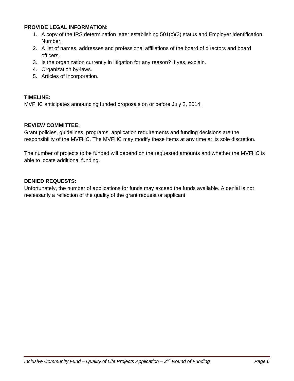#### **PROVIDE LEGAL INFORMATION:**

- 1. A copy of the IRS determination letter establishing 501(c)(3) status and Employer Identification Number.
- 2. A list of names, addresses and professional affiliations of the board of directors and board officers.
- 3. Is the organization currently in litigation for any reason? If yes, explain.
- 4. Organization by-laws.
- 5. Articles of Incorporation.

#### **TIMELINE:**

MVFHC anticipates announcing funded proposals on or before July 2, 2014.

#### **REVIEW COMMITTEE:**

Grant policies, guidelines, programs, application requirements and funding decisions are the responsibility of the MVFHC. The MVFHC may modify these items at any time at its sole discretion.

The number of projects to be funded will depend on the requested amounts and whether the MVFHC is able to locate additional funding.

# **DENIED REQUESTS:**

Unfortunately, the number of applications for funds may exceed the funds available. A denial is not necessarily a reflection of the quality of the grant request or applicant.